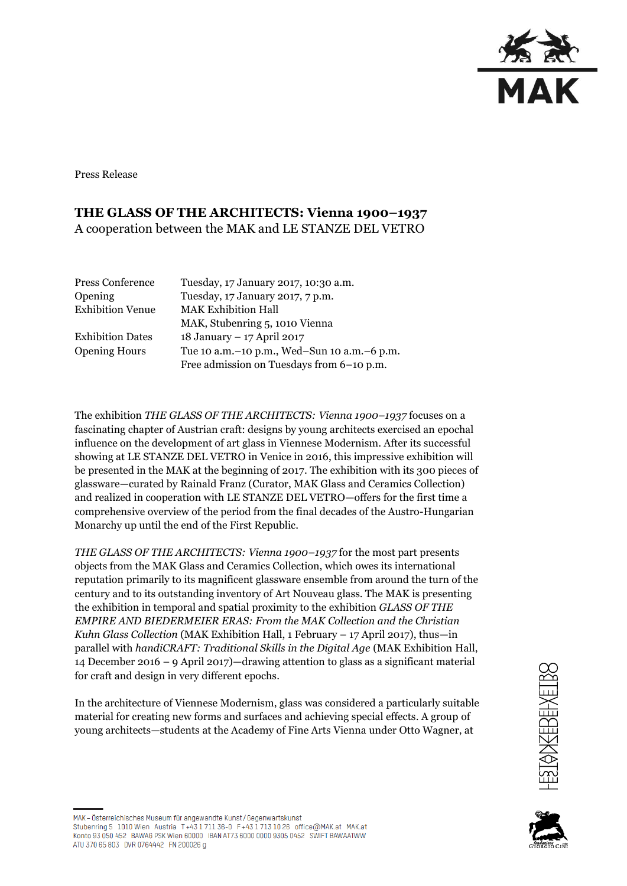

Press Release

## **THE GLASS OF THE ARCHITECTS: Vienna 1900–1937** A cooperation between the MAK and LE STANZE DEL VETRO

| Press Conference        | Tuesday, 17 January 2017, 10:30 a.m.            |
|-------------------------|-------------------------------------------------|
| <b>Opening</b>          | Tuesday, 17 January 2017, 7 p.m.                |
| <b>Exhibition Venue</b> | <b>MAK Exhibition Hall</b>                      |
|                         | MAK, Stubenring 5, 1010 Vienna                  |
| <b>Exhibition Dates</b> | 18 January - 17 April 2017                      |
| <b>Opening Hours</b>    | Tue 10 a.m. - 10 p.m., Wed-Sun 10 a.m. - 6 p.m. |
|                         | Free admission on Tuesdays from 6-10 p.m.       |

The exhibition *THE GLASS OF THE ARCHITECTS: Vienna 1900–1937* focuses on a fascinating chapter of Austrian craft: designs by young architects exercised an epochal influence on the development of art glass in Viennese Modernism. After its successful showing at LE STANZE DEL VETRO in Venice in 2016, this impressive exhibition will be presented in the MAK at the beginning of 2017. The exhibition with its 300 pieces of glassware—curated by Rainald Franz (Curator, MAK Glass and Ceramics Collection) and realized in cooperation with LE STANZE DEL VETRO—offers for the first time a comprehensive overview of the period from the final decades of the Austro-Hungarian Monarchy up until the end of the First Republic.

*THE GLASS OF THE ARCHITECTS: Vienna 1900–1937* for the most part presents objects from the MAK Glass and Ceramics Collection, which owes its international reputation primarily to its magnificent glassware ensemble from around the turn of the century and to its outstanding inventory of Art Nouveau glass. The MAK is presenting the exhibition in temporal and spatial proximity to the exhibition *GLASS OF THE EMPIRE AND BIEDERMEIER ERAS: From the MAK Collection and the Christian Kuhn Glass Collection* (MAK Exhibition Hall, 1 February – 17 April 2017), thus—in parallel with *handiCRAFT: Traditional Skills in the Digital Age* (MAK Exhibition Hall, 14 December 2016 – 9 April 2017)—drawing attention to glass as a significant material for craft and design in very different epochs.

In the architecture of Viennese Modernism, glass was considered a particularly suitable material for creating new forms and surfaces and achieving special effects. A group of young architects—students at the Academy of Fine Arts Vienna under Otto Wagner, at





MAK - Österreichisches Museum für angewandte Kunst/Gegenwartskunst Stubenring 5 1010 Wien Austria T+43 1 711 36-0 F+43 1 713 10 26 office@MAK.at MAK.at Konto 93 050 452 BAWAG PSK Wien 60000 IBAN AT73 6000 0000 9305 0452 SWIFT BAWAATWW ATU 370 65 803 DVR 0764442 FN 200026 g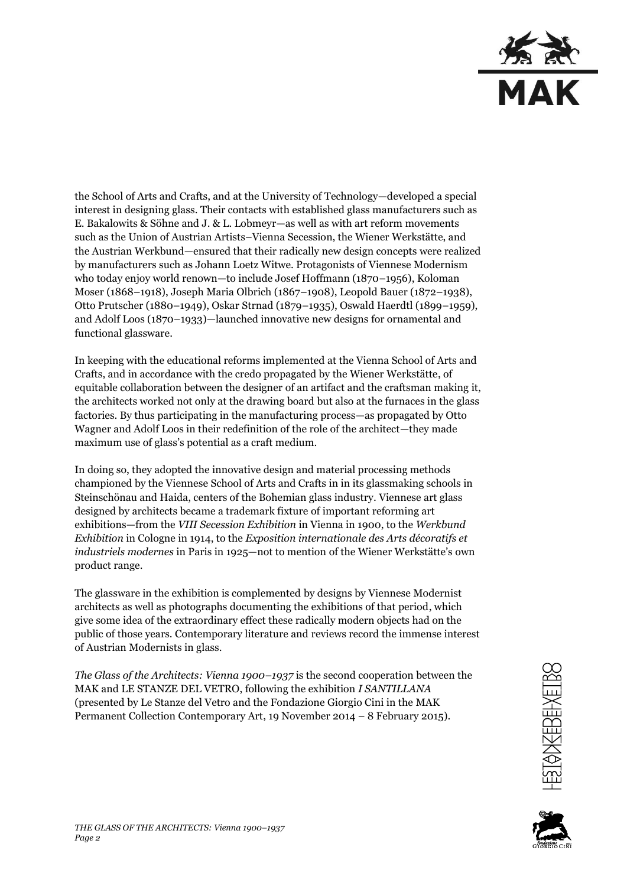

the School of Arts and Crafts, and at the University of Technology—developed a special interest in designing glass. Their contacts with established glass manufacturers such as E. Bakalowits & Söhne and J. & L. Lobmeyr—as well as with art reform movements such as the Union of Austrian Artists–Vienna Secession, the Wiener Werkstätte, and the Austrian Werkbund—ensured that their radically new design concepts were realized by manufacturers such as Johann Loetz Witwe. Protagonists of Viennese Modernism who today enjoy world renown—to include Josef Hoffmann (1870–1956), Koloman Moser (1868–1918), Joseph Maria Olbrich (1867–1908), Leopold Bauer (1872–1938), Otto Prutscher (1880–1949), Oskar Strnad (1879–1935), Oswald Haerdtl (1899–1959), and Adolf Loos (1870–1933)—launched innovative new designs for ornamental and functional glassware.

In keeping with the educational reforms implemented at the Vienna School of Arts and Crafts, and in accordance with the credo propagated by the Wiener Werkstätte, of equitable collaboration between the designer of an artifact and the craftsman making it, the architects worked not only at the drawing board but also at the furnaces in the glass factories. By thus participating in the manufacturing process—as propagated by Otto Wagner and Adolf Loos in their redefinition of the role of the architect—they made maximum use of glass's potential as a craft medium.

In doing so, they adopted the innovative design and material processing methods championed by the Viennese School of Arts and Crafts in in its glassmaking schools in Steinschönau and Haida, centers of the Bohemian glass industry. Viennese art glass designed by architects became a trademark fixture of important reforming art exhibitions—from the *VIII Secession Exhibition* in Vienna in 1900, to the *Werkbund Exhibition* in Cologne in 1914, to the *Exposition internationale des Arts décoratifs et industriels modernes* in Paris in 1925—not to mention of the Wiener Werkstätte's own product range.

The glassware in the exhibition is complemented by designs by Viennese Modernist architects as well as photographs documenting the exhibitions of that period, which give some idea of the extraordinary effect these radically modern objects had on the public of those years. Contemporary literature and reviews record the immense interest of Austrian Modernists in glass.

*The Glass of the Architects: Vienna 1900–1937* is the second cooperation between the MAK and LE STANZE DEL VETRO, following the exhibition *I SANTILLANA*  (presented by Le Stanze del Vetro and the Fondazione Giorgio Cini in the MAK Permanent Collection Contemporary Art, 19 November 2014 – 8 February 2015).



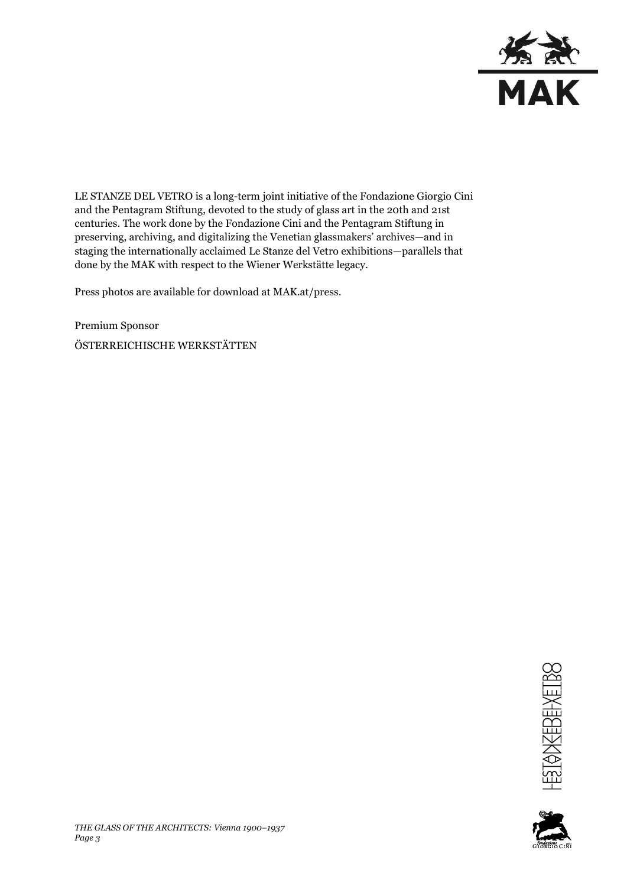

LE STANZE DEL VETRO is a long-term joint initiative of the Fondazione Giorgio Cini and the Pentagram Stiftung, devoted to the study of glass art in the 20th and 21st centuries. The work done by the Fondazione Cini and the Pentagram Stiftung in preserving, archiving, and digitalizing the Venetian glassmakers' archives—and in staging the internationally acclaimed Le Stanze del Vetro exhibitions—parallels that done by the MAK with respect to the Wiener Werkstätte legacy.

Press photos are available for download at MAK.at/press.

Premium Sponsor ÖSTERREICHISCHE WERKSTÄTTEN